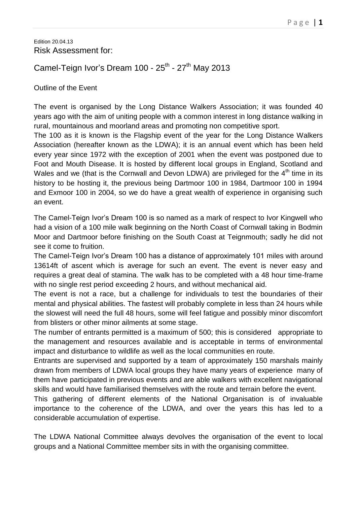#### Edition 20.04.13 Risk Assessment for:

# Camel-Teign Ivor's Dream 100 - 25<sup>th</sup> - 27<sup>th</sup> May 2013

## Outline of the Event

The event is organised by the Long Distance Walkers Association; it was founded 40 years ago with the aim of uniting people with a common interest in long distance walking in rural, mountainous and moorland areas and promoting non competitive sport.

The 100 as it is known is the Flagship event of the year for the Long Distance Walkers Association (hereafter known as the LDWA); it is an annual event which has been held every year since 1972 with the exception of 2001 when the event was postponed due to Foot and Mouth Disease. It is hosted by different local groups in England, Scotland and Wales and we (that is the Cornwall and Devon LDWA) are privileged for the  $4<sup>th</sup>$  time in its history to be hosting it, the previous being Dartmoor 100 in 1984, Dartmoor 100 in 1994 and Exmoor 100 in 2004, so we do have a great wealth of experience in organising such an event.

The Camel-Teign Ivor's Dream 100 is so named as a mark of respect to Ivor Kingwell who had a vision of a 100 mile walk beginning on the North Coast of Cornwall taking in Bodmin Moor and Dartmoor before finishing on the South Coast at Teignmouth; sadly he did not see it come to fruition.

The Camel-Teign Ivor's Dream 100 has a distance of approximately 101 miles with around 13614ft of ascent which is average for such an event. The event is never easy and requires a great deal of stamina. The walk has to be completed with a 48 hour time-frame with no single rest period exceeding 2 hours, and without mechanical aid.

The event is not a race, but a challenge for individuals to test the boundaries of their mental and physical abilities. The fastest will probably complete in less than 24 hours while the slowest will need the full 48 hours, some will feel fatigue and possibly minor discomfort from blisters or other minor ailments at some stage.

The number of entrants permitted is a maximum of 500; this is considered appropriate to the management and resources available and is acceptable in terms of environmental impact and disturbance to wildlife as well as the local communities en route.

Entrants are supervised and supported by a team of approximately 150 marshals mainly drawn from members of LDWA local groups they have many years of experience many of them have participated in previous events and are able walkers with excellent navigational skills and would have familiarised themselves with the route and terrain before the event.

This gathering of different elements of the National Organisation is of invaluable importance to the coherence of the LDWA, and over the years this has led to a considerable accumulation of expertise.

The LDWA National Committee always devolves the organisation of the event to local groups and a National Committee member sits in with the organising committee.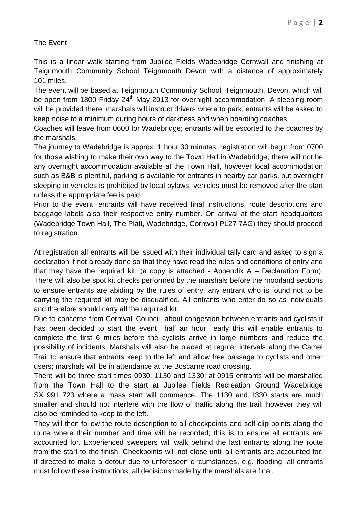# The Event

This is a linear walk starting from Jubilee Fields Wadebridge Cornwall and finishing at Teignmouth Community School Teignmouth Devon with a distance of approximately 101 miles.

The event will be based at Teignmouth Community School, Teignmouth, Devon, which will be open from 1800 Friday 24<sup>th</sup> May 2013 for overnight accommodation. A sleeping room will be provided there; marshals will instruct drivers where to park, entrants will be asked to keep noise to a minimum during hours of darkness and when boarding coaches.

Coaches will leave from 0600 for Wadebridge; entrants will be escorted to the coaches by the marshals.

The journey to Wadebridge is approx. 1 hour 30 minutes, registration will begin from 0700 for those wishing to make their own way to the Town Hall in Wadebridge, there will not be any overnight accommodation available at the Town Hall, however local accommodation such as B&B is plentiful, parking is available for entrants in nearby car parks, but overnight sleeping in vehicles is prohibited by local bylaws, vehicles must be removed after the start unless the appropriate fee is paid

Prior to the event, entrants will have received final instructions, route descriptions and baggage labels also their respective entry number. On arrival at the start headquarters (Wadebridge Town Hall, The Platt, Wadebridge, Cornwall PL27 7AG) they should proceed to registration.

At registration all entrants will be issued with their individual tally card and asked to sign a declaration if not already done so that they have read the rules and conditions of entry and that they have the required kit, (a copy is attached - Appendix A – Declaration Form). There will also be spot kit checks performed by the marshals before the moorland sections to ensure entrants are abiding by the rules of entry, any entrant who is found not to be carrying the required kit may be disqualified. All entrants who enter do so as individuals and therefore should carry all the required kit.

Due to concerns from Cornwall Council about congestion between entrants and cyclists it has been decided to start the event half an hour early this will enable entrants to complete the first 6 miles before the cyclists arrive in large numbers and reduce the possibility of incidents. Marshals will also be placed at regular intervals along the Camel Trail to ensure that entrants keep to the left and allow free passage to cyclists and other users; marshals will be in attendance at the Boscarne road crossing.

There will be three start times 0930, 1130 and 1330; at 0915 entrants will be marshalled from the Town Hall to the start at Jubilee Fields Recreation Ground Wadebridge SX 991 723 where a mass start will commence. The 1130 and 1330 starts are much smaller and should not interfere with the flow of traffic along the trail; however they will also be reminded to keep to the left.

They will then follow the route description to all checkpoints and self-clip points along the route where their number and time will be recorded; this is to ensure all entrants are accounted for. Experienced sweepers will walk behind the last entrants along the route from the start to the finish. Checkpoints will not close until all entrants are accounted for; if directed to make a detour due to unforeseen circumstances, e.g. flooding, all entrants must follow these instructions; all decisions made by the marshals are final.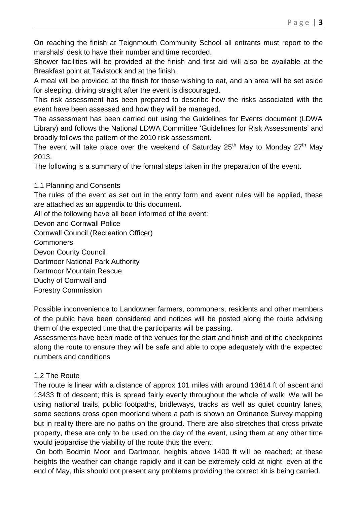On reaching the finish at Teignmouth Community School all entrants must report to the marshals' desk to have their number and time recorded.

Shower facilities will be provided at the finish and first aid will also be available at the Breakfast point at Tavistock and at the finish.

A meal will be provided at the finish for those wishing to eat, and an area will be set aside for sleeping, driving straight after the event is discouraged.

This risk assessment has been prepared to describe how the risks associated with the event have been assessed and how they will be managed.

The assessment has been carried out using the Guidelines for Events document (LDWA Library) and follows the National LDWA Committee 'Guidelines for Risk Assessments' and broadly follows the pattern of the 2010 risk assessment.

The event will take place over the weekend of Saturday  $25<sup>th</sup>$  May to Monday  $27<sup>th</sup>$  May 2013.

The following is a summary of the formal steps taken in the preparation of the event.

# 1.1 Planning and Consents

The rules of the event as set out in the entry form and event rules will be applied, these are attached as an appendix to this document.

All of the following have all been informed of the event:

Devon and Cornwall Police

Cornwall Council (Recreation Officer)

**Commoners** 

Devon County Council

Dartmoor National Park Authority

Dartmoor Mountain Rescue

Duchy of Cornwall and

Forestry Commission

Possible inconvenience to Landowner farmers, commoners, residents and other members of the public have been considered and notices will be posted along the route advising them of the expected time that the participants will be passing.

Assessments have been made of the venues for the start and finish and of the checkpoints along the route to ensure they will be safe and able to cope adequately with the expected numbers and conditions

# 1.2 The Route

The route is linear with a distance of approx 101 miles with around 13614 ft of ascent and 13433 ft of descent; this is spread fairly evenly throughout the whole of walk. We will be using national trails, public footpaths, bridleways, tracks as well as quiet country lanes, some sections cross open moorland where a path is shown on Ordnance Survey mapping but in reality there are no paths on the ground. There are also stretches that cross private property, these are only to be used on the day of the event, using them at any other time would jeopardise the viability of the route thus the event.

On both Bodmin Moor and Dartmoor, heights above 1400 ft will be reached; at these heights the weather can change rapidly and it can be extremely cold at night, even at the end of May, this should not present any problems providing the correct kit is being carried.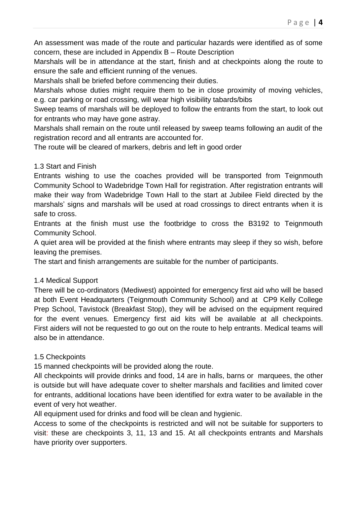An assessment was made of the route and particular hazards were identified as of some concern, these are included in Appendix B – Route Description

Marshals will be in attendance at the start, finish and at checkpoints along the route to ensure the safe and efficient running of the venues.

Marshals shall be briefed before commencing their duties.

Marshals whose duties might require them to be in close proximity of moving vehicles, e.g. car parking or road crossing, will wear high visibility tabards/bibs

Sweep teams of marshals will be deployed to follow the entrants from the start, to look out for entrants who may have gone astray.

Marshals shall remain on the route until released by sweep teams following an audit of the registration record and all entrants are accounted for.

The route will be cleared of markers, debris and left in good order

# 1.3 Start and Finish

Entrants wishing to use the coaches provided will be transported from Teignmouth Community School to Wadebridge Town Hall for registration. After registration entrants will make their way from Wadebridge Town Hall to the start at Jubilee Field directed by the marshals' signs and marshals will be used at road crossings to direct entrants when it is safe to cross.

Entrants at the finish must use the footbridge to cross the B3192 to Teignmouth Community School.

A quiet area will be provided at the finish where entrants may sleep if they so wish, before leaving the premises.

The start and finish arrangements are suitable for the number of participants.

# 1.4 Medical Support

There will be co-ordinators (Mediwest) appointed for emergency first aid who will be based at both Event Headquarters (Teignmouth Community School) and at CP9 Kelly College Prep School, Tavistock (Breakfast Stop), they will be advised on the equipment required for the event venues. Emergency first aid kits will be available at all checkpoints. First aiders will not be requested to go out on the route to help entrants. Medical teams will also be in attendance.

# 1.5 Checkpoints

15 manned checkpoints will be provided along the route.

All checkpoints will provide drinks and food, 14 are in halls, barns or marquees, the other is outside but will have adequate cover to shelter marshals and facilities and limited cover for entrants, additional locations have been identified for extra water to be available in the event of very hot weather.

All equipment used for drinks and food will be clean and hygienic.

Access to some of the checkpoints is restricted and will not be suitable for supporters to visit: these are checkpoints 3, 11, 13 and 15. At all checkpoints entrants and Marshals have priority over supporters.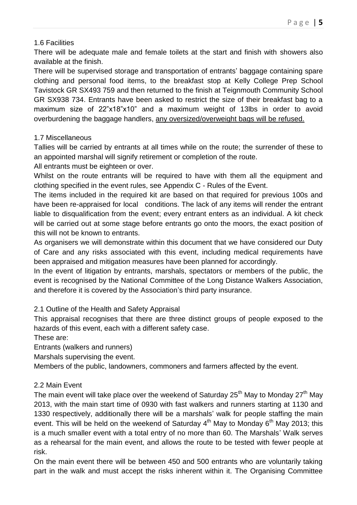## 1.6 Facilities

There will be adequate male and female toilets at the start and finish with showers also available at the finish.

There will be supervised storage and transportation of entrants' baggage containing spare clothing and personal food items, to the breakfast stop at Kelly College Prep School Tavistock GR SX493 759 and then returned to the finish at Teignmouth Community School GR SX938 734. Entrants have been asked to restrict the size of their breakfast bag to a maximum size of 22"x18"x10" and a maximum weight of 13lbs in order to avoid overburdening the baggage handlers, any oversized/overweight bags will be refused.

# 1.7 Miscellaneous

Tallies will be carried by entrants at all times while on the route; the surrender of these to an appointed marshal will signify retirement or completion of the route.

All entrants must be eighteen or over.

Whilst on the route entrants will be required to have with them all the equipment and clothing specified in the event rules, see Appendix C - Rules of the Event.

The items included in the required kit are based on that required for previous 100s and have been re-appraised for local conditions. The lack of any items will render the entrant liable to disqualification from the event; every entrant enters as an individual. A kit check will be carried out at some stage before entrants go onto the moors, the exact position of this will not be known to entrants.

As organisers we will demonstrate within this document that we have considered our Duty of Care and any risks associated with this event, including medical requirements have been appraised and mitigation measures have been planned for accordingly.

In the event of litigation by entrants, marshals, spectators or members of the public, the event is recognised by the National Committee of the Long Distance Walkers Association, and therefore it is covered by the Association's third party insurance.

# 2.1 Outline of the Health and Safety Appraisal

This appraisal recognises that there are three distinct groups of people exposed to the hazards of this event, each with a different safety case.

These are:

Entrants (walkers and runners)

Marshals supervising the event.

Members of the public, landowners, commoners and farmers affected by the event.

# 2.2 Main Event

The main event will take place over the weekend of Saturday  $25<sup>th</sup>$  May to Monday  $27<sup>th</sup>$  May 2013, with the main start time of 0930 with fast walkers and runners starting at 1130 and 1330 respectively, additionally there will be a marshals' walk for people staffing the main event. This will be held on the weekend of Saturday  $4<sup>th</sup>$  May to Monday 6<sup>th</sup> May 2013; this is a much smaller event with a total entry of no more than 60. The Marshals' Walk serves as a rehearsal for the main event, and allows the route to be tested with fewer people at risk.

On the main event there will be between 450 and 500 entrants who are voluntarily taking part in the walk and must accept the risks inherent within it. The Organising Committee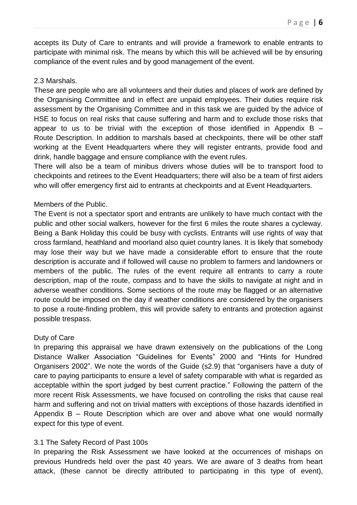accepts its Duty of Care to entrants and will provide a framework to enable entrants to participate with minimal risk. The means by which this will be achieved will be by ensuring compliance of the event rules and by good management of the event.

## 2.3 Marshals.

These are people who are all volunteers and their duties and places of work are defined by the Organising Committee and in effect are unpaid employees. Their duties require risk assessment by the Organising Committee and in this task we are guided by the advice of HSE to focus on real risks that cause suffering and harm and to exclude those risks that appear to us to be trivial with the exception of those identified in Appendix  $B -$ Route Description. In addition to marshals based at checkpoints, there will be other staff working at the Event Headquarters where they will register entrants, provide food and drink, handle baggage and ensure compliance with the event rules.

There will also be a team of minibus drivers whose duties will be to transport food to checkpoints and retirees to the Event Headquarters; there will also be a team of first aiders who will offer emergency first aid to entrants at checkpoints and at Event Headquarters.

## Members of the Public.

The Event is not a spectator sport and entrants are unlikely to have much contact with the public and other social walkers, however for the first 6 miles the route shares a cycleway. Being a Bank Holiday this could be busy with cyclists. Entrants will use rights of way that cross farmland, heathland and moorland also quiet country lanes. It is likely that somebody may lose their way but we have made a considerable effort to ensure that the route description is accurate and if followed will cause no problem to farmers and landowners or members of the public. The rules of the event require all entrants to carry a route description, map of the route, compass and to have the skills to navigate at night and in adverse weather conditions. Some sections of the route may be flagged or an alternative route could be imposed on the day if weather conditions are considered by the organisers to pose a route-finding problem, this will provide safety to entrants and protection against possible trespass.

#### Duty of Care

In preparing this appraisal we have drawn extensively on the publications of the Long Distance Walker Association "Guidelines for Events" 2000 and "Hints for Hundred Organisers 2002". We note the words of the Guide (s2.9) that "organisers have a duty of care to paying participants to ensure a level of safety comparable with what is regarded as acceptable within the sport judged by best current practice." Following the pattern of the more recent Risk Assessments, we have focused on controlling the risks that cause real harm and suffering and not on trivial matters with exceptions of those hazards identified in Appendix B – Route Description which are over and above what one would normally expect for this type of event.

# 3.1 The Safety Record of Past 100s

In preparing the Risk Assessment we have looked at the occurrences of mishaps on previous Hundreds held over the past 40 years. We are aware of 3 deaths from heart attack, (these cannot be directly attributed to participating in this type of event),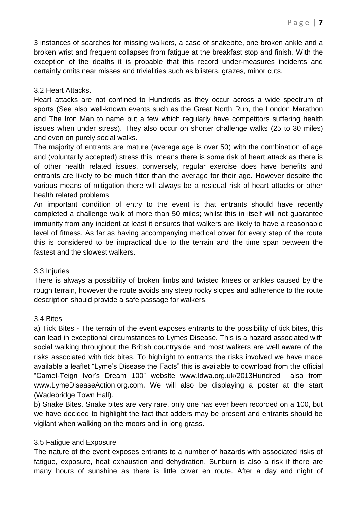3 instances of searches for missing walkers, a case of snakebite, one broken ankle and a broken wrist and frequent collapses from fatigue at the breakfast stop and finish. With the exception of the deaths it is probable that this record under-measures incidents and certainly omits near misses and trivialities such as blisters, grazes, minor cuts.

## 3.2 Heart Attacks.

Heart attacks are not confined to Hundreds as they occur across a wide spectrum of sports (See also well-known events such as the Great North Run, the London Marathon and The Iron Man to name but a few which regularly have competitors suffering health issues when under stress). They also occur on shorter challenge walks (25 to 30 miles) and even on purely social walks.

The majority of entrants are mature (average age is over 50) with the combination of age and (voluntarily accepted) stress this means there is some risk of heart attack as there is of other health related issues, conversely, regular exercise does have benefits and entrants are likely to be much fitter than the average for their age. However despite the various means of mitigation there will always be a residual risk of heart attacks or other health related problems.

An important condition of entry to the event is that entrants should have recently completed a challenge walk of more than 50 miles; whilst this in itself will not guarantee immunity from any incident at least it ensures that walkers are likely to have a reasonable level of fitness. As far as having accompanying medical cover for every step of the route this is considered to be impractical due to the terrain and the time span between the fastest and the slowest walkers.

#### 3.3 Injuries

There is always a possibility of broken limbs and twisted knees or ankles caused by the rough terrain, however the route avoids any steep rocky slopes and adherence to the route description should provide a safe passage for walkers.

#### 3.4 Bites

a) Tick Bites - The terrain of the event exposes entrants to the possibility of tick bites, this can lead in exceptional circumstances to Lymes Disease. This is a hazard associated with social walking throughout the British countryside and most walkers are well aware of the risks associated with tick bites. To highlight to entrants the risks involved we have made available a leaflet "Lyme's Disease the Facts" this is available to download from the official "Camel-Teign Ivor's Dream 100" website [www.ldwa.org.uk/2013Hundred](http://www.ldwa.org.uk/2013Hundred) also from [www.LymeDiseaseAction.org.com.](http://www.lymediseaseaction.org.com/) We will also be displaying a poster at the start (Wadebridge Town Hall).

b) Snake Bites. Snake bites are very rare, only one has ever been recorded on a 100, but we have decided to highlight the fact that adders may be present and entrants should be vigilant when walking on the moors and in long grass.

# 3.5 Fatigue and Exposure

The nature of the event exposes entrants to a number of hazards with associated risks of fatigue, exposure, heat exhaustion and dehydration. Sunburn is also a risk if there are many hours of sunshine as there is little cover en route. After a day and night of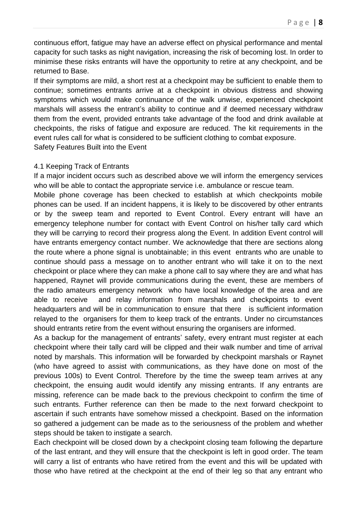continuous effort, fatigue may have an adverse effect on physical performance and mental capacity for such tasks as night navigation, increasing the risk of becoming lost. In order to minimise these risks entrants will have the opportunity to retire at any checkpoint, and be returned to Base.

If their symptoms are mild, a short rest at a checkpoint may be sufficient to enable them to continue; sometimes entrants arrive at a checkpoint in obvious distress and showing symptoms which would make continuance of the walk unwise, experienced checkpoint marshals will assess the entrant's ability to continue and if deemed necessary withdraw them from the event, provided entrants take advantage of the food and drink available at checkpoints, the risks of fatigue and exposure are reduced. The kit requirements in the event rules call for what is considered to be sufficient clothing to combat exposure. Safety Features Built into the Event

#### 4.1 Keeping Track of Entrants

If a major incident occurs such as described above we will inform the emergency services who will be able to contact the appropriate service i.e. ambulance or rescue team.

Mobile phone coverage has been checked to establish at which checkpoints mobile phones can be used. If an incident happens, it is likely to be discovered by other entrants or by the sweep team and reported to Event Control. Every entrant will have an emergency telephone number for contact with Event Control on his/her tally card which they will be carrying to record their progress along the Event. In addition Event control will have entrants emergency contact number. We acknowledge that there are sections along the route where a phone signal is unobtainable; in this event entrants who are unable to continue should pass a message on to another entrant who will take it on to the next checkpoint or place where they can make a phone call to say where they are and what has happened, Raynet will provide communications during the event, these are members of the radio amateurs emergency network who have local knowledge of the area and are able to receive and relay information from marshals and checkpoints to event headquarters and will be in communication to ensure that there is sufficient information relayed to the organisers for them to keep track of the entrants. Under no circumstances should entrants retire from the event without ensuring the organisers are informed.

As a backup for the management of entrants' safety, every entrant must register at each checkpoint where their tally card will be clipped and their walk number and time of arrival noted by marshals. This information will be forwarded by checkpoint marshals or Raynet (who have agreed to assist with communications, as they have done on most of the previous 100s) to Event Control. Therefore by the time the sweep team arrives at any checkpoint, the ensuing audit would identify any missing entrants. If any entrants are missing, reference can be made back to the previous checkpoint to confirm the time of such entrants. Further reference can then be made to the next forward checkpoint to ascertain if such entrants have somehow missed a checkpoint. Based on the information so gathered a judgement can be made as to the seriousness of the problem and whether steps should be taken to instigate a search.

Each checkpoint will be closed down by a checkpoint closing team following the departure of the last entrant, and they will ensure that the checkpoint is left in good order. The team will carry a list of entrants who have retired from the event and this will be updated with those who have retired at the checkpoint at the end of their leg so that any entrant who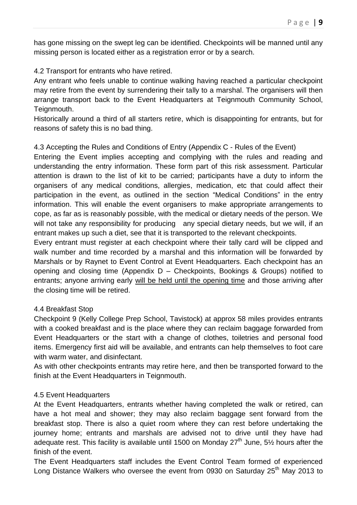has gone missing on the swept leg can be identified. Checkpoints will be manned until any missing person is located either as a registration error or by a search.

4.2 Transport for entrants who have retired.

Any entrant who feels unable to continue walking having reached a particular checkpoint may retire from the event by surrendering their tally to a marshal. The organisers will then arrange transport back to the Event Headquarters at Teignmouth Community School, Teignmouth.

Historically around a third of all starters retire, which is disappointing for entrants, but for reasons of safety this is no bad thing.

4.3 Accepting the Rules and Conditions of Entry (Appendix C - Rules of the Event)

Entering the Event implies accepting and complying with the rules and reading and understanding the entry information. These form part of this risk assessment. Particular attention is drawn to the list of kit to be carried; participants have a duty to inform the organisers of any medical conditions, allergies, medication, etc that could affect their participation in the event, as outlined in the section "Medical Conditions" in the entry information. This will enable the event organisers to make appropriate arrangements to cope, as far as is reasonably possible, with the medical or dietary needs of the person. We will not take any responsibility for producing any special dietary needs, but we will, if an entrant makes up such a diet, see that it is transported to the relevant checkpoints.

Every entrant must register at each checkpoint where their tally card will be clipped and walk number and time recorded by a marshal and this information will be forwarded by Marshals or by Raynet to Event Control at Event Headquarters. Each checkpoint has an opening and closing time (Appendix D – Checkpoints, Bookings & Groups) notified to entrants; anyone arriving early will be held until the opening time and those arriving after the closing time will be retired.

#### 4.4 Breakfast Stop

Checkpoint 9 (Kelly College Prep School, Tavistock) at approx 58 miles provides entrants with a cooked breakfast and is the place where they can reclaim baggage forwarded from Event Headquarters or the start with a change of clothes, toiletries and personal food items. Emergency first aid will be available, and entrants can help themselves to foot care with warm water, and disinfectant.

As with other checkpoints entrants may retire here, and then be transported forward to the finish at the Event Headquarters in Teignmouth.

#### 4.5 Event Headquarters

At the Event Headquarters, entrants whether having completed the walk or retired, can have a hot meal and shower; they may also reclaim baggage sent forward from the breakfast stop. There is also a quiet room where they can rest before undertaking the journey home; entrants and marshals are advised not to drive until they have had adequate rest. This facility is available until 1500 on Monday  $27<sup>th</sup>$  June, 5<sup>1</sup>/<sub>2</sub> hours after the finish of the event.

The Event Headquarters staff includes the Event Control Team formed of experienced Long Distance Walkers who oversee the event from 0930 on Saturday 25<sup>th</sup> May 2013 to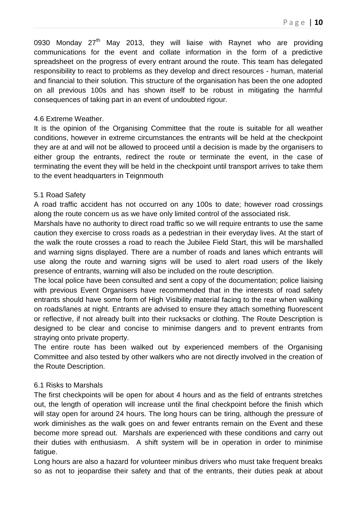0930 Monday  $27<sup>th</sup>$  May 2013, they will liaise with Raynet who are providing communications for the event and collate information in the form of a predictive spreadsheet on the progress of every entrant around the route. This team has delegated responsibility to react to problems as they develop and direct resources - human, material and financial to their solution. This structure of the organisation has been the one adopted on all previous 100s and has shown itself to be robust in mitigating the harmful consequences of taking part in an event of undoubted rigour.

## 4.6 Extreme Weather.

It is the opinion of the Organising Committee that the route is suitable for all weather conditions, however in extreme circumstances the entrants will be held at the checkpoint they are at and will not be allowed to proceed until a decision is made by the organisers to either group the entrants, redirect the route or terminate the event, in the case of terminating the event they will be held in the checkpoint until transport arrives to take them to the event headquarters in Teignmouth

## 5.1 Road Safety

A road traffic accident has not occurred on any 100s to date; however road crossings along the route concern us as we have only limited control of the associated risk.

Marshals have no authority to direct road traffic so we will require entrants to use the same caution they exercise to cross roads as a pedestrian in their everyday lives. At the start of the walk the route crosses a road to reach the Jubilee Field Start, this will be marshalled and warning signs displayed. There are a number of roads and lanes which entrants will use along the route and warning signs will be used to alert road users of the likely presence of entrants, warning will also be included on the route description.

The local police have been consulted and sent a copy of the documentation; police liaising with previous Event Organisers have recommended that in the interests of road safety entrants should have some form of High Visibility material facing to the rear when walking on roads/lanes at night. Entrants are advised to ensure they attach something fluorescent or reflective, if not already built into their rucksacks or clothing. The Route Description is designed to be clear and concise to minimise dangers and to prevent entrants from straying onto private property.

The entire route has been walked out by experienced members of the Organising Committee and also tested by other walkers who are not directly involved in the creation of the Route Description.

# 6.1 Risks to Marshals

The first checkpoints will be open for about 4 hours and as the field of entrants stretches out, the length of operation will increase until the final checkpoint before the finish which will stay open for around 24 hours. The long hours can be tiring, although the pressure of work diminishes as the walk goes on and fewer entrants remain on the Event and these become more spread out. Marshals are experienced with these conditions and carry out their duties with enthusiasm. A shift system will be in operation in order to minimise fatique.

Long hours are also a hazard for volunteer minibus drivers who must take frequent breaks so as not to jeopardise their safety and that of the entrants, their duties peak at about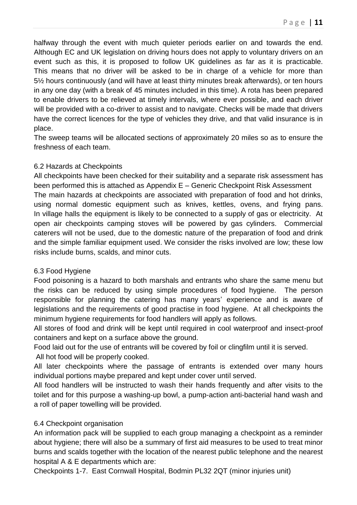halfway through the event with much quieter periods earlier on and towards the end. Although EC and UK legislation on driving hours does not apply to voluntary drivers on an event such as this, it is proposed to follow UK guidelines as far as it is practicable. This means that no driver will be asked to be in charge of a vehicle for more than 5½ hours continuously (and will have at least thirty minutes break afterwards), or ten hours in any one day (with a break of 45 minutes included in this time). A rota has been prepared to enable drivers to be relieved at timely intervals, where ever possible, and each driver will be provided with a co-driver to assist and to navigate. Checks will be made that drivers have the correct licences for the type of vehicles they drive, and that valid insurance is in place.

The sweep teams will be allocated sections of approximately 20 miles so as to ensure the freshness of each team.

# 6.2 Hazards at Checkpoints

All checkpoints have been checked for their suitability and a separate risk assessment has been performed this is attached as Appendix E – Generic Checkpoint Risk Assessment The main hazards at checkpoints are associated with preparation of food and hot drinks, using normal domestic equipment such as knives, kettles, ovens, and frying pans. In village halls the equipment is likely to be connected to a supply of gas or electricity. At open air checkpoints camping stoves will be powered by gas cylinders. Commercial caterers will not be used, due to the domestic nature of the preparation of food and drink and the simple familiar equipment used. We consider the risks involved are low; these low risks include burns, scalds, and minor cuts.

# 6.3 Food Hygiene

Food poisoning is a hazard to both marshals and entrants who share the same menu but the risks can be reduced by using simple procedures of food hygiene. The person responsible for planning the catering has many years' experience and is aware of legislations and the requirements of good practise in food hygiene. At all checkpoints the minimum hygiene requirements for food handlers will apply as follows.

All stores of food and drink will be kept until required in cool waterproof and insect-proof containers and kept on a surface above the ground.

Food laid out for the use of entrants will be covered by foil or clingfilm until it is served.

All hot food will be properly cooked.

All later checkpoints where the passage of entrants is extended over many hours individual portions maybe prepared and kept under cover until served.

All food handlers will be instructed to wash their hands frequently and after visits to the toilet and for this purpose a washing-up bowl, a pump-action anti-bacterial hand wash and a roll of paper towelling will be provided.

# 6.4 Checkpoint organisation

An information pack will be supplied to each group managing a checkpoint as a reminder about hygiene; there will also be a summary of first aid measures to be used to treat minor burns and scalds together with the location of the nearest public telephone and the nearest hospital A & E departments which are:

Checkpoints 1-7. East Cornwall Hospital, Bodmin PL32 2QT (minor injuries unit)